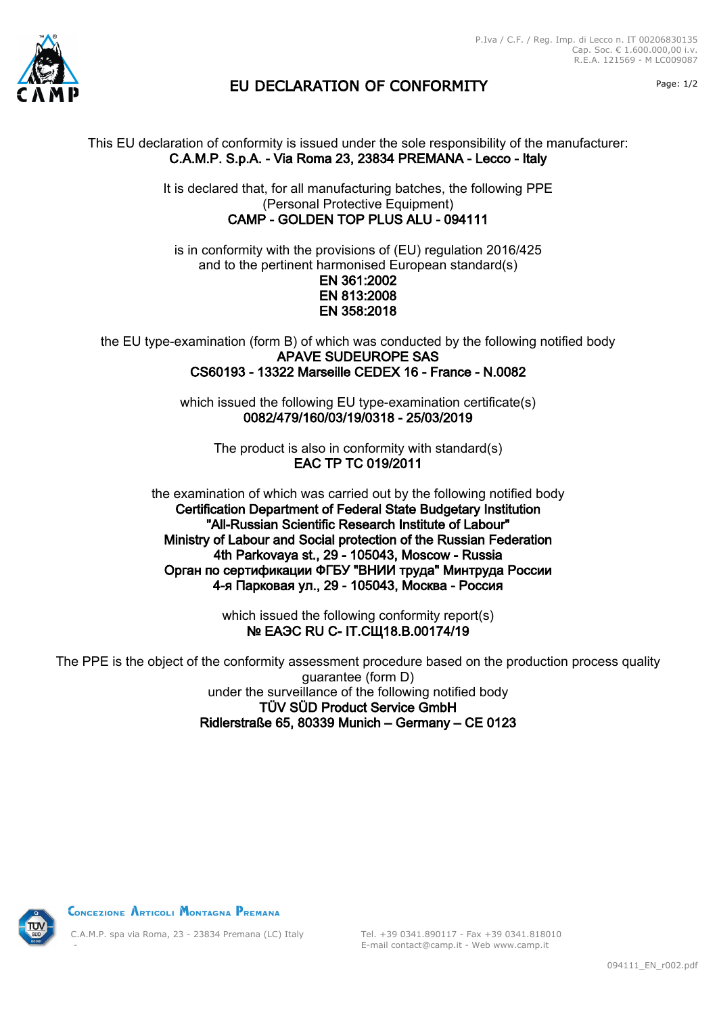

## EU DECLARATION OF CONFORMITY Page: 1/2

This EU declaration of conformity is issued under the sole responsibility of the manufacturer: C.A.M.P. S.p.A. - Via Roma 23, 23834 PREMANA - Lecco - Italy

> It is declared that, for all manufacturing batches, the following PPE (Personal Protective Equipment) CAMP - GOLDEN TOP PLUS ALU - 094111

is in conformity with the provisions of (EU) regulation 2016/425 and to the pertinent harmonised European standard(s) EN 361:2002 EN 813:2008 EN 358:2018

the EU type-examination (form B) of which was conducted by the following notified body APAVE SUDEUROPE SAS CS60193 - 13322 Marseille CEDEX 16 - France - N.0082

> which issued the following EU type-examination certificate(s) 0082/479/160/03/19/0318 - 25/03/2019

The product is also in conformity with standard(s) EAC TP TC 019/2011

the examination of which was carried out by the following notified body Certification Department of Federal State Budgetary Institution "All-Russian Scientific Research Institute of Labour" Ministry of Labour and Social protection of the Russian Federation 4th Parkovaya st., 29 - 105043, Moscow - Russia Орган по сертификации ФГБУ "ВНИИ труда" Минтруда России 4-я Парковая ул., 29 - 105043, Москва - Россия

> which issued the following conformity report(s) **№ ЕАЭС RU С- IT.СЩ18.В.00174/19**

The PPE is the object of the conformity assessment procedure based on the production process quality guarantee (form D) under the surveillance of the following notified body TÜV SÜD Product Service GmbH Ridlerstraße 65, 80339 Munich – Germany – CE 0123



CONCEZIONE ARTICOLI MONTAGNA PREMANA

C.A.M.P. spa via Roma, 23 - 23834 Premana (LC) Italy -